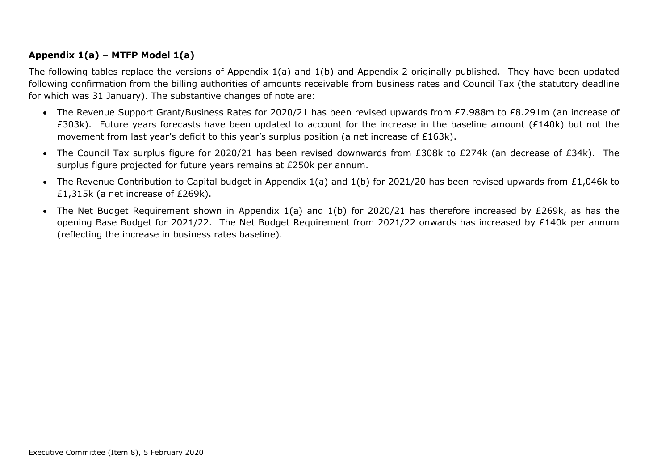## **Appendix 1(a) – MTFP Model 1(a)**

The following tables replace the versions of Appendix  $1(a)$  and  $1(b)$  and Appendix 2 originally published. They have been updated following confirmation from the billing authorities of amounts receivable from business rates and Council Tax (the statutory deadline for which was 31 January). The substantive changes of note are:

- The Revenue Support Grant/Business Rates for 2020/21 has been revised upwards from £7.988m to £8.291m (an increase of £303k). Future years forecasts have been updated to account for the increase in the baseline amount (£140k) but not the movement from last year's deficit to this year's surplus position (a net increase of £163k).
- The Council Tax surplus figure for 2020/21 has been revised downwards from £308k to £274k (an decrease of £34k). The surplus figure projected for future years remains at £250k per annum.
- The Revenue Contribution to Capital budget in Appendix 1(a) and 1(b) for 2021/20 has been revised upwards from £1,046k to £1,315k (a net increase of £269k).
- The Net Budget Requirement shown in Appendix 1(a) and 1(b) for 2020/21 has therefore increased by £269k, as has the opening Base Budget for 2021/22. The Net Budget Requirement from 2021/22 onwards has increased by £140k per annum (reflecting the increase in business rates baseline).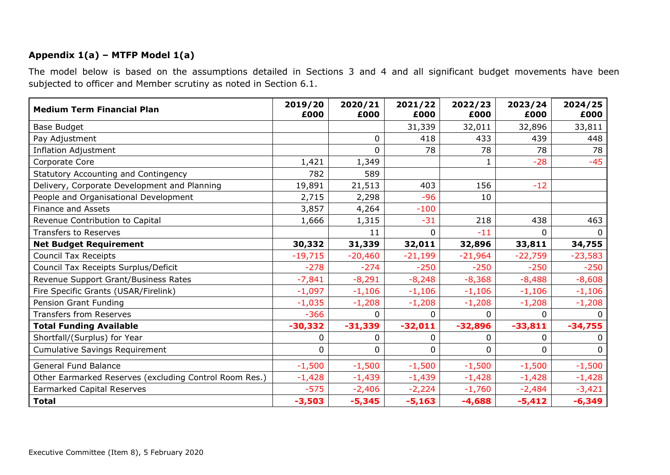## **Appendix 1(a) – MTFP Model 1(a)**

The model below is based on the assumptions detailed in Sections 3 and 4 and all significant budget movements have been subjected to officer and Member scrutiny as noted in Section 6.1.

| <b>Medium Term Financial Plan</b>                      | 2019/20<br>£000 | 2020/21<br>£000 | 2021/22<br>£000 | 2022/23<br>£000 | 2023/24<br>£000 | 2024/25<br>£000 |
|--------------------------------------------------------|-----------------|-----------------|-----------------|-----------------|-----------------|-----------------|
| <b>Base Budget</b>                                     |                 |                 | 31,339          | 32,011          | 32,896          | 33,811          |
| Pay Adjustment                                         |                 | 0               | 418             | 433             | 439             | 448             |
| <b>Inflation Adjustment</b>                            |                 | 0               | 78              | 78              | 78              | 78              |
| Corporate Core                                         | 1,421           | 1,349           |                 |                 | $-28$           | $-45$           |
| <b>Statutory Accounting and Contingency</b>            | 782             | 589             |                 |                 |                 |                 |
| Delivery, Corporate Development and Planning           | 19,891          | 21,513          | 403             | 156             | $-12$           |                 |
| People and Organisational Development                  | 2,715           | 2,298           | $-96$           | 10              |                 |                 |
| <b>Finance and Assets</b>                              | 3,857           | 4,264           | $-100$          |                 |                 |                 |
| Revenue Contribution to Capital                        | 1,666           | 1,315           | $-31$           | 218             | 438             | 463             |
| <b>Transfers to Reserves</b>                           |                 | 11              | $\mathbf{0}$    | $-11$           | 0               | $\Omega$        |
| <b>Net Budget Requirement</b>                          | 30,332          | 31,339          | 32,011          | 32,896          | 33,811          | 34,755          |
| <b>Council Tax Receipts</b>                            | $-19,715$       | $-20,460$       | $-21,199$       | $-21,964$       | $-22,759$       | $-23,583$       |
| Council Tax Receipts Surplus/Deficit                   | $-278$          | $-274$          | $-250$          | $-250$          | $-250$          | $-250$          |
| Revenue Support Grant/Business Rates                   | $-7,841$        | $-8,291$        | $-8,248$        | $-8,368$        | $-8,488$        | $-8,608$        |
| Fire Specific Grants (USAR/Firelink)                   | $-1,097$        | $-1,106$        | $-1,106$        | $-1,106$        | $-1,106$        | $-1,106$        |
| Pension Grant Funding                                  | $-1,035$        | $-1,208$        | $-1,208$        | $-1,208$        | $-1,208$        | $-1,208$        |
| <b>Transfers from Reserves</b>                         | $-366$          | 0               | $\mathbf{0}$    | $\Omega$        | 0               | $\Omega$        |
| <b>Total Funding Available</b>                         | $-30,332$       | $-31,339$       | $-32,011$       | $-32,896$       | $-33,811$       | $-34,755$       |
| Shortfall/(Surplus) for Year                           | 0               | 0               | $\mathbf 0$     | 0               | 0               | $\mathbf{0}$    |
| <b>Cumulative Savings Requirement</b>                  | 0               | 0               | 0               | 0               | 0               | $\mathbf{0}$    |
| <b>General Fund Balance</b>                            | $-1,500$        | $-1,500$        | $-1,500$        | $-1,500$        | $-1,500$        | $-1,500$        |
| Other Earmarked Reserves (excluding Control Room Res.) | $-1,428$        | $-1,439$        | $-1,439$        | $-1,428$        | $-1,428$        | $-1,428$        |
| <b>Earmarked Capital Reserves</b>                      | $-575$          | $-2,406$        | $-2,224$        | $-1,760$        | $-2,484$        | $-3,421$        |
| <b>Total</b>                                           | $-3,503$        | $-5,345$        | $-5,163$        | $-4,688$        | $-5,412$        | $-6,349$        |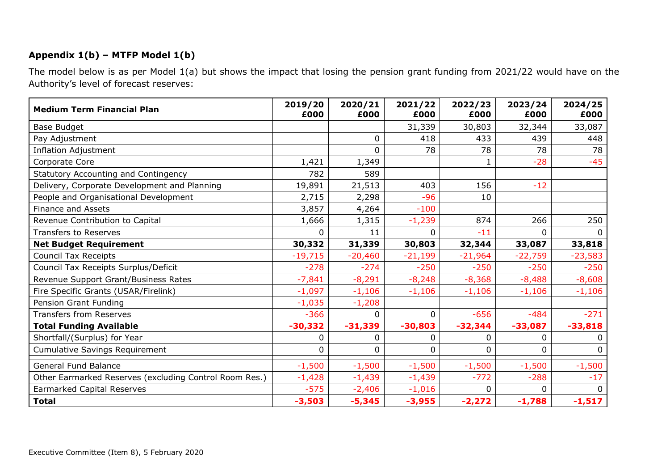## **Appendix 1(b) – MTFP Model 1(b)**

The model below is as per Model 1(a) but shows the impact that losing the pension grant funding from 2021/22 would have on the Authority's level of forecast reserves:

| <b>Medium Term Financial Plan</b>                      | 2019/20<br>£000 | 2020/21<br>£000 | 2021/22<br>£000 | 2022/23<br>£000 | 2023/24<br>£000 | 2024/25<br>£000 |
|--------------------------------------------------------|-----------------|-----------------|-----------------|-----------------|-----------------|-----------------|
| <b>Base Budget</b>                                     |                 |                 | 31,339          | 30,803          | 32,344          | 33,087          |
| Pay Adjustment                                         |                 | 0               | 418             | 433             | 439             | 448             |
| <b>Inflation Adjustment</b>                            |                 | 0               | 78              | 78              | 78              | 78              |
| Corporate Core                                         | 1,421           | 1,349           |                 | 1               | $-28$           | $-45$           |
| Statutory Accounting and Contingency                   | 782             | 589             |                 |                 |                 |                 |
| Delivery, Corporate Development and Planning           | 19,891          | 21,513          | 403             | 156             | $-12$           |                 |
| People and Organisational Development                  | 2,715           | 2,298           | $-96$           | 10              |                 |                 |
| <b>Finance and Assets</b>                              | 3,857           | 4,264           | $-100$          |                 |                 |                 |
| Revenue Contribution to Capital                        | 1,666           | 1,315           | $-1,239$        | 874             | 266             | 250             |
| <b>Transfers to Reserves</b>                           | 0               | 11              | $\mathbf 0$     | $-11$           | 0               | $\Omega$        |
| <b>Net Budget Requirement</b>                          | 30,332          | 31,339          | 30,803          | 32,344          | 33,087          | 33,818          |
| <b>Council Tax Receipts</b>                            | $-19,715$       | $-20,460$       | $-21,199$       | $-21,964$       | $-22,759$       | $-23,583$       |
| Council Tax Receipts Surplus/Deficit                   | $-278$          | $-274$          | $-250$          | $-250$          | $-250$          | $-250$          |
| Revenue Support Grant/Business Rates                   | $-7,841$        | $-8,291$        | $-8,248$        | $-8,368$        | $-8,488$        | $-8,608$        |
| Fire Specific Grants (USAR/Firelink)                   | $-1,097$        | $-1,106$        | $-1,106$        | $-1,106$        | $-1,106$        | $-1,106$        |
| Pension Grant Funding                                  | $-1,035$        | $-1,208$        |                 |                 |                 |                 |
| <b>Transfers from Reserves</b>                         | $-366$          | 0               | $\overline{0}$  | $-656$          | $-484$          | $-271$          |
| <b>Total Funding Available</b>                         | $-30,332$       | $-31,339$       | $-30,803$       | $-32,344$       | $-33,087$       | $-33,818$       |
| Shortfall/(Surplus) for Year                           | 0               | 0               | $\mathbf 0$     | 0               | 0               | $\mathbf{0}$    |
| <b>Cumulative Savings Requirement</b>                  | 0               | 0               | $\Omega$        | 0               | 0               | $\Omega$        |
| <b>General Fund Balance</b>                            | $-1,500$        | $-1,500$        | $-1,500$        | $-1,500$        | $-1,500$        | $-1,500$        |
| Other Earmarked Reserves (excluding Control Room Res.) | $-1,428$        | $-1,439$        | $-1,439$        | $-772$          | $-288$          | $-17$           |
| <b>Earmarked Capital Reserves</b>                      | $-575$          | $-2,406$        | $-1,016$        | 0               | 0               | $\Omega$        |
| <b>Total</b>                                           | $-3,503$        | $-5,345$        | $-3,955$        | $-2,272$        | $-1,788$        | $-1,517$        |